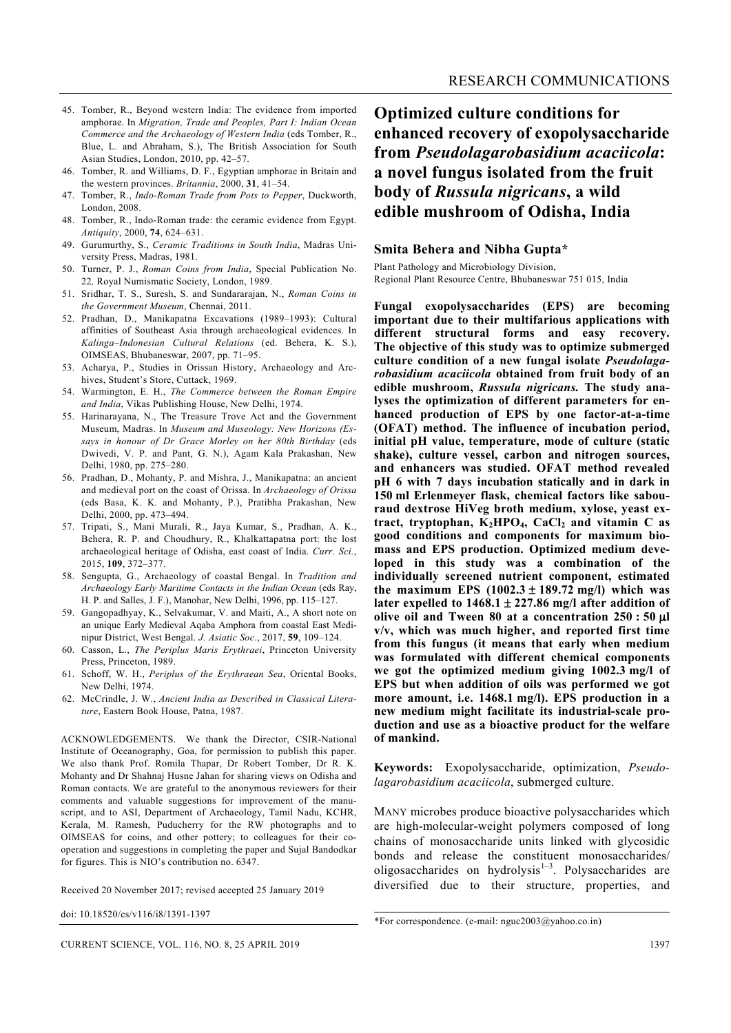- 45. Tomber, R., Beyond western India: The evidence from imported amphorae. In *Migration, Trade and Peoples, Part I: Indian Ocean Commerce and the Archaeology of Western India* (eds Tomber, R., Blue, L. and Abraham, S.), The British Association for South Asian Studies, London, 2010, pp. 42–57.
- 46. Tomber, R. and Williams, D. F., Egyptian amphorae in Britain and the western provinces. *Britannia*, 2000, **31**, 41–54.
- 47. Tomber, R., *Indo-Roman Trade from Pots to Pepper*, Duckworth, London, 2008.
- 48. Tomber, R., Indo-Roman trade: the ceramic evidence from Egypt. *Antiquity*, 2000, **74**, 624–631.
- 49. Gurumurthy, S., *Ceramic Traditions in South India*, Madras University Press, Madras, 1981.
- 50. Turner, P. J., *Roman Coins from India*, Special Publication No. 22*,* Royal Numismatic Society, London, 1989.
- 51. Sridhar, T. S., Suresh, S. and Sundararajan, N., *Roman Coins in the Government Museum*, Chennai, 2011.
- 52. Pradhan, D., Manikapatna Excavations (1989–1993): Cultural affinities of Southeast Asia through archaeological evidences. In *Kalinga–Indonesian Cultural Relations* (ed. Behera, K. S.), OIMSEAS, Bhubaneswar, 2007, pp. 71–95.
- 53. Acharya, P., Studies in Orissan History, Archaeology and Archives, Student's Store, Cuttack, 1969.
- 54. Warmington, E. H., *The Commerce between the Roman Empire and India*, Vikas Publishing House, New Delhi, 1974.
- 55. Harinarayana, N., The Treasure Trove Act and the Government Museum, Madras. In *Museum and Museology: New Horizons (Essays in honour of Dr Grace Morley on her 80th Birthday* (eds Dwivedi, V. P. and Pant, G. N.), Agam Kala Prakashan, New Delhi, 1980, pp. 275–280.
- 56. Pradhan, D., Mohanty, P. and Mishra, J., Manikapatna: an ancient and medieval port on the coast of Orissa. In *Archaeology of Orissa*  (eds Basa, K. K. and Mohanty, P.), Pratibha Prakashan, New Delhi, 2000, pp. 473–494.
- 57. Tripati, S., Mani Murali, R., Jaya Kumar, S., Pradhan, A. K., Behera, R. P. and Choudhury, R., Khalkattapatna port: the lost archaeological heritage of Odisha, east coast of India. *Curr. Sci.*, 2015, **109**, 372–377.
- 58. Sengupta, G., Archaeology of coastal Bengal. In *Tradition and Archaeology Early Maritime Contacts in the Indian Ocean* (eds Ray, H. P. and Salles, J. F.), Manohar, New Delhi, 1996, pp. 115–127.
- 59. Gangopadhyay, K., Selvakumar, V. and Maiti, A., A short note on an unique Early Medieval Aqaba Amphora from coastal East Medinipur District, West Bengal. *J. Asiatic Soc*., 2017, **59**, 109–124.
- 60. Casson, L., *The Periplus Maris Erythraei*, Princeton University Press, Princeton, 1989.
- 61. Schoff, W. H., *Periplus of the Erythraean Sea*, Oriental Books, New Delhi, 1974.
- 62. McCrindle, J. W., *Ancient India as Described in Classical Literature*, Eastern Book House, Patna, 1987.

ACKNOWLEDGEMENTS. We thank the Director, CSIR-National Institute of Oceanography, Goa, for permission to publish this paper. We also thank Prof. Romila Thapar, Dr Robert Tomber, Dr R. K. Mohanty and Dr Shahnaj Husne Jahan for sharing views on Odisha and Roman contacts. We are grateful to the anonymous reviewers for their comments and valuable suggestions for improvement of the manuscript, and to ASI, Department of Archaeology, Tamil Nadu, KCHR, Kerala, M. Ramesh, Puducherry for the RW photographs and to OIMSEAS for coins, and other pottery; to colleagues for their cooperation and suggestions in completing the paper and Sujal Bandodkar for figures. This is NIO's contribution no. 6347.

Received 20 November 2017; revised accepted 25 January 2019

doi: 10.18520/cs/v116/i8/1391-1397

## **Optimized culture conditions for enhanced recovery of exopolysaccharide from** *Pseudolagarobasidium acaciicola***: a novel fungus isolated from the fruit body of** *Russula nigricans***, a wild edible mushroom of Odisha, India**

## **Smita Behera and Nibha Gupta\***

Plant Pathology and Microbiology Division, Regional Plant Resource Centre, Bhubaneswar 751 015, India

**Fungal exopolysaccharides (EPS) are becoming important due to their multifarious applications with different structural forms and easy recovery. The objective of this study was to optimize submerged culture condition of a new fungal isolate** *Pseudolagarobasidium acaciicola* **obtained from fruit body of an edible mushroom,** *Russula nigricans.* **The study analyses the optimization of different parameters for enhanced production of EPS by one factor-at-a-time (OFAT) method. The influence of incubation period, initial pH value, temperature, mode of culture (static shake), culture vessel, carbon and nitrogen sources, and enhancers was studied. OFAT method revealed pH 6 with 7 days incubation statically and in dark in 150 ml Erlenmeyer flask, chemical factors like sabouraud dextrose HiVeg broth medium, xylose, yeast ex**tract, tryptophan,  $K_2HPO_4$ ,  $CaCl_2$  and vitamin C as **good conditions and components for maximum biomass and EPS production. Optimized medium developed in this study was a combination of the individually screened nutrient component, estimated the maximum EPS (1002.3** ± **189.72 mg/l) which was later expelled to 1468.1** ± **227.86 mg/l after addition of olive oil and Tween 80 at a concentration 250 : 50** μ**l v/v, which was much higher, and reported first time from this fungus (it means that early when medium was formulated with different chemical components we got the optimized medium giving 1002.3 mg/l of EPS but when addition of oils was performed we got more amount, i.e. 1468.1 mg/l). EPS production in a new medium might facilitate its industrial-scale production and use as a bioactive product for the welfare of mankind.** 

**Keywords:** Exopolysaccharide, optimization, *Pseudolagarobasidium acaciicola*, submerged culture.

MANY microbes produce bioactive polysaccharides which are high-molecular-weight polymers composed of long chains of monosaccharide units linked with glycosidic bonds and release the constituent monosaccharides/ oligosaccharides on hydrolysis $1-3$ . Polysaccharides are diversified due to their structure, properties, and

<sup>\*</sup>For correspondence. (e-mail: nguc2003@yahoo.co.in)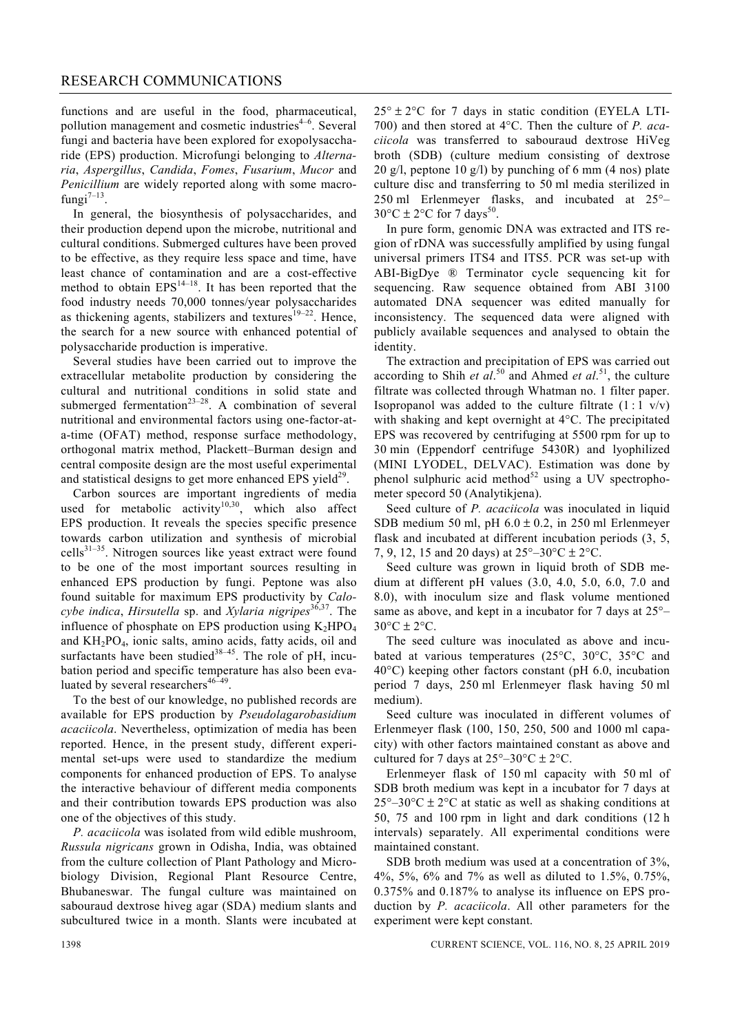functions and are useful in the food, pharmaceutical, pollution management and cosmetic industries $4-6$ . Several fungi and bacteria have been explored for exopolysaccharide (EPS) production. Microfungi belonging to *Alternaria*, *Aspergillus*, *Candida*, *Fomes*, *Fusarium*, *Mucor* and *Penicillium* are widely reported along with some macrofungi $7-13$ .

 In general, the biosynthesis of polysaccharides, and their production depend upon the microbe, nutritional and cultural conditions. Submerged cultures have been proved to be effective, as they require less space and time, have least chance of contamination and are a cost-effective method to obtain  $EPS^{14-18}$ . It has been reported that the food industry needs 70,000 tonnes/year polysaccharides as thickening agents, stabilizers and textures<sup>19-22</sup>. Hence, the search for a new source with enhanced potential of polysaccharide production is imperative.

 Several studies have been carried out to improve the extracellular metabolite production by considering the cultural and nutritional conditions in solid state and submerged fermentation<sup>23–28</sup>. A combination of several nutritional and environmental factors using one-factor-ata-time (OFAT) method, response surface methodology, orthogonal matrix method, Plackett–Burman design and central composite design are the most useful experimental and statistical designs to get more enhanced EPS yield $^{29}$ .

 Carbon sources are important ingredients of media used for metabolic activity<sup>10,30</sup>, which also affect EPS production. It reveals the species specific presence towards carbon utilization and synthesis of microbial  $cells^{31-35}$ . Nitrogen sources like yeast extract were found to be one of the most important sources resulting in enhanced EPS production by fungi. Peptone was also found suitable for maximum EPS productivity by *Calocybe indica*, *Hirsutella* sp. and *Xylaria nigripes*36,37. The influence of phosphate on EPS production using  $K_2HPO_4$ and KH2PO4, ionic salts, amino acids, fatty acids, oil and surfactants have been studied  $38-45$ . The role of pH, incubation period and specific temperature has also been evaluated by several researchers<sup>46-49</sup>.

 To the best of our knowledge, no published records are available for EPS production by *Pseudolagarobasidium acaciicola*. Nevertheless, optimization of media has been reported. Hence, in the present study, different experimental set-ups were used to standardize the medium components for enhanced production of EPS. To analyse the interactive behaviour of different media components and their contribution towards EPS production was also one of the objectives of this study.

*P. acaciicola* was isolated from wild edible mushroom, *Russula nigricans* grown in Odisha, India, was obtained from the culture collection of Plant Pathology and Microbiology Division, Regional Plant Resource Centre, Bhubaneswar. The fungal culture was maintained on sabouraud dextrose hiveg agar (SDA) medium slants and subcultured twice in a month. Slants were incubated at  $25^{\circ} \pm 2^{\circ}$ C for 7 days in static condition (EYELA LTI-700) and then stored at 4°C. Then the culture of *P. acaciicola* was transferred to sabouraud dextrose HiVeg broth (SDB) (culture medium consisting of dextrose 20 g/l, peptone 10 g/l) by punching of 6 mm (4 nos) plate culture disc and transferring to 50 ml media sterilized in 250 ml Erlenmeyer flasks, and incubated at 25°–  $30^{\circ}$ C ± 2°C for 7 days<sup>50</sup>.

 In pure form, genomic DNA was extracted and ITS region of rDNA was successfully amplified by using fungal universal primers ITS4 and ITS5. PCR was set-up with ABI-BigDye ® Terminator cycle sequencing kit for sequencing. Raw sequence obtained from ABI 3100 automated DNA sequencer was edited manually for inconsistency. The sequenced data were aligned with publicly available sequences and analysed to obtain the identity.

 The extraction and precipitation of EPS was carried out according to Shih *et al.*<sup>50</sup> and Ahmed *et al.*<sup>51</sup>, the culture filtrate was collected through Whatman no. 1 filter paper. Isopropanol was added to the culture filtrate  $(1:1 \text{ v/v})$ with shaking and kept overnight at 4°C. The precipitated EPS was recovered by centrifuging at 5500 rpm for up to 30 min (Eppendorf centrifuge 5430R) and lyophilized (MINI LYODEL, DELVAC). Estimation was done by phenol sulphuric acid method $52$  using a UV spectrophometer specord 50 (Analytikjena).

 Seed culture of *P. acaciicola* was inoculated in liquid SDB medium 50 ml, pH  $6.0 \pm 0.2$ , in 250 ml Erlenmeyer flask and incubated at different incubation periods (3, 5, 7, 9, 12, 15 and 20 days) at  $25^{\circ} - 30^{\circ}C \pm 2^{\circ}C$ .

 Seed culture was grown in liquid broth of SDB medium at different pH values (3.0, 4.0, 5.0, 6.0, 7.0 and 8.0), with inoculum size and flask volume mentioned same as above, and kept in a incubator for 7 days at 25°–  $30^{\circ}$ C  $\pm$  2°C.

 The seed culture was inoculated as above and incubated at various temperatures (25°C, 30°C, 35°C and 40°C) keeping other factors constant (pH 6.0, incubation period 7 days, 250 ml Erlenmeyer flask having 50 ml medium).

 Seed culture was inoculated in different volumes of Erlenmeyer flask (100, 150, 250, 500 and 1000 ml capacity) with other factors maintained constant as above and cultured for 7 days at  $25^{\circ} - 30^{\circ}$ C ± 2°C.

 Erlenmeyer flask of 150 ml capacity with 50 ml of SDB broth medium was kept in a incubator for 7 days at  $25^{\circ}$ –30°C ± 2°C at static as well as shaking conditions at 50, 75 and 100 rpm in light and dark conditions (12 h intervals) separately. All experimental conditions were maintained constant.

 SDB broth medium was used at a concentration of 3%, 4%, 5%, 6% and 7% as well as diluted to 1.5%, 0.75%, 0.375% and 0.187% to analyse its influence on EPS production by *P. acaciicola*. All other parameters for the experiment were kept constant.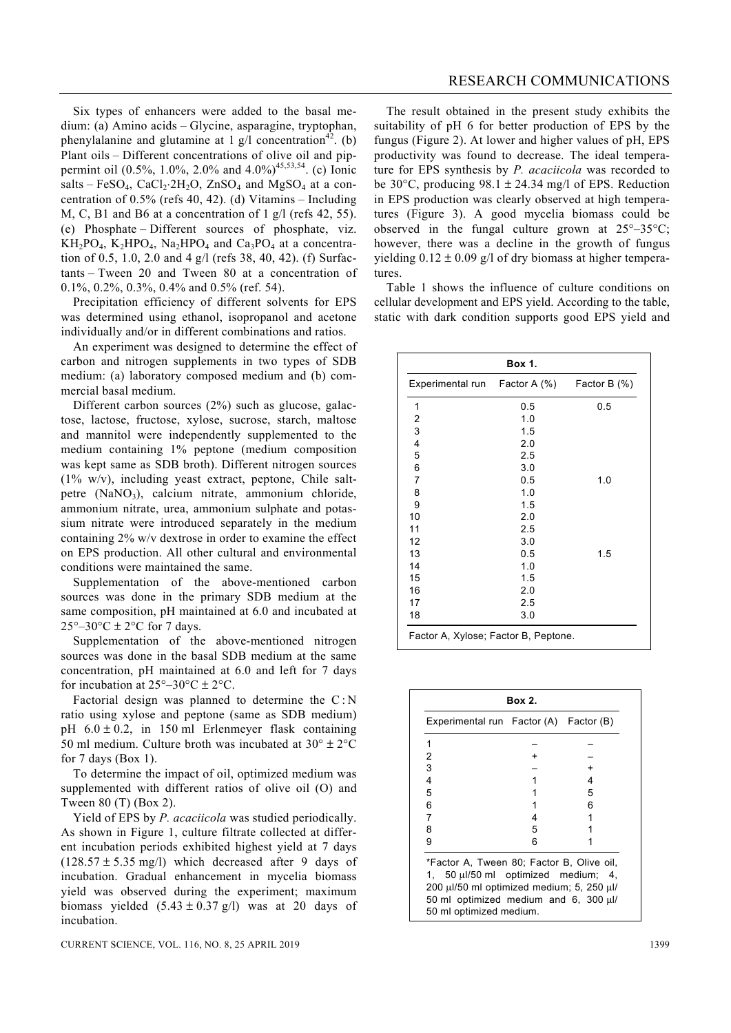Six types of enhancers were added to the basal medium: (a) Amino acids – Glycine, asparagine, tryptophan, phenylalanine and glutamine at 1 g/l concentration<sup>42</sup>. (b) Plant oils – Different concentrations of olive oil and pippermint oil (0.5%, 1.0%, 2.0% and 4.0%)<sup>45,53,54</sup>. (c) Ionic salts – FeSO<sub>4</sub>, CaCl<sub>2</sub>⋅2H<sub>2</sub>O, ZnSO<sub>4</sub> and MgSO<sub>4</sub> at a concentration of 0.5% (refs 40, 42). (d) Vitamins – Including M, C, B1 and B6 at a concentration of 1 g/l (refs 42, 55). (e) Phosphate – Different sources of phosphate, viz.  $KH_2PO_4$ ,  $K_2HPO_4$ ,  $Na_2HPO_4$  and  $Ca_3PO_4$  at a concentration of 0.5, 1.0, 2.0 and 4 g/l (refs 38, 40, 42). (f) Surfactants – Tween 20 and Tween 80 at a concentration of 0.1%, 0.2%, 0.3%, 0.4% and 0.5% (ref. 54).

 Precipitation efficiency of different solvents for EPS was determined using ethanol, isopropanol and acetone individually and/or in different combinations and ratios.

 An experiment was designed to determine the effect of carbon and nitrogen supplements in two types of SDB medium: (a) laboratory composed medium and (b) commercial basal medium.

 Different carbon sources (2%) such as glucose, galactose, lactose, fructose, xylose, sucrose, starch, maltose and mannitol were independently supplemented to the medium containing 1% peptone (medium composition was kept same as SDB broth). Different nitrogen sources  $(1\% \t w/v)$ , including yeast extract, peptone, Chile saltpetre (NaNO<sub>3</sub>), calcium nitrate, ammonium chloride, ammonium nitrate, urea, ammonium sulphate and potassium nitrate were introduced separately in the medium containing 2% w/v dextrose in order to examine the effect on EPS production. All other cultural and environmental conditions were maintained the same.

 Supplementation of the above-mentioned carbon sources was done in the primary SDB medium at the same composition, pH maintained at 6.0 and incubated at  $25^{\circ}$ –30°C ± 2°C for 7 days.

 Supplementation of the above-mentioned nitrogen sources was done in the basal SDB medium at the same concentration, pH maintained at 6.0 and left for 7 days for incubation at  $25^{\circ} - 30^{\circ}C \pm 2^{\circ}C$ .

Factorial design was planned to determine the C:N ratio using xylose and peptone (same as SDB medium) pH  $6.0 \pm 0.2$ , in 150 ml Erlenmeyer flask containing 50 ml medium. Culture broth was incubated at  $30^{\circ} \pm 2^{\circ}$ C for 7 days (Box 1).

 To determine the impact of oil, optimized medium was supplemented with different ratios of olive oil (O) and Tween 80 (T) (Box 2).

 Yield of EPS by *P. acaciicola* was studied periodically. As shown in Figure 1, culture filtrate collected at different incubation periods exhibited highest yield at 7 days  $(128.57 \pm 5.35 \text{ mg/l})$  which decreased after 9 days of incubation. Gradual enhancement in mycelia biomass yield was observed during the experiment; maximum biomass yielded  $(5.43 \pm 0.37 \text{ g/l})$  was at 20 days of incubation.

 The result obtained in the present study exhibits the suitability of pH 6 for better production of EPS by the fungus (Figure 2). At lower and higher values of pH, EPS productivity was found to decrease. The ideal temperature for EPS synthesis by *P. acaciicola* was recorded to be 30 $\degree$ C, producing 98.1  $\pm$  24.34 mg/l of EPS. Reduction in EPS production was clearly observed at high temperatures (Figure 3). A good mycelia biomass could be observed in the fungal culture grown at  $25^{\circ}$ –35°C; however, there was a decline in the growth of fungus yielding  $0.12 \pm 0.09$  g/l of dry biomass at higher temperatures.

 Table 1 shows the influence of culture conditions on cellular development and EPS yield. According to the table, static with dark condition supports good EPS yield and

| Box 1.                               |     |              |  |  |  |
|--------------------------------------|-----|--------------|--|--|--|
| Experimental run Factor A (%)        |     | Factor B (%) |  |  |  |
| 1                                    | 0.5 | 0.5          |  |  |  |
| 2                                    | 1.0 |              |  |  |  |
| 3                                    | 1.5 |              |  |  |  |
| 4                                    | 2.0 |              |  |  |  |
| 5                                    | 2.5 |              |  |  |  |
| 6                                    | 3.0 |              |  |  |  |
| 7                                    | 0.5 | 1.0          |  |  |  |
| 8                                    | 1.0 |              |  |  |  |
| 9                                    | 1.5 |              |  |  |  |
| 10                                   | 2.0 |              |  |  |  |
| 11                                   | 2.5 |              |  |  |  |
| 12                                   | 3.0 |              |  |  |  |
| 13                                   | 0.5 | 1.5          |  |  |  |
| 14                                   | 1.0 |              |  |  |  |
| 15                                   | 1.5 |              |  |  |  |
| 16                                   | 2.0 |              |  |  |  |
| 17                                   | 2.5 |              |  |  |  |
| 18                                   | 3.0 |              |  |  |  |
| Factor A, Xylose; Factor B, Peptone. |     |              |  |  |  |

| Experimental run Factor (A) Factor (B)                                                                                                                                                            |   |    |
|---------------------------------------------------------------------------------------------------------------------------------------------------------------------------------------------------|---|----|
| 1                                                                                                                                                                                                 |   |    |
| 2                                                                                                                                                                                                 |   |    |
| 3                                                                                                                                                                                                 |   |    |
| 4                                                                                                                                                                                                 |   | 4  |
| 5                                                                                                                                                                                                 |   | 5  |
| 6                                                                                                                                                                                                 |   | ิค |
| 7                                                                                                                                                                                                 | 4 |    |
| 8                                                                                                                                                                                                 | 5 |    |
| 9                                                                                                                                                                                                 | 6 |    |
| *Factor A, Tween 80; Factor B, Olive oil,<br>1, 50 µl/50 ml optimized medium; 4,<br>200 µl/50 ml optimized medium; 5, 250 µl/<br>50 ml optimized medium and 6, 300 µl/<br>50 ml optimized medium. |   |    |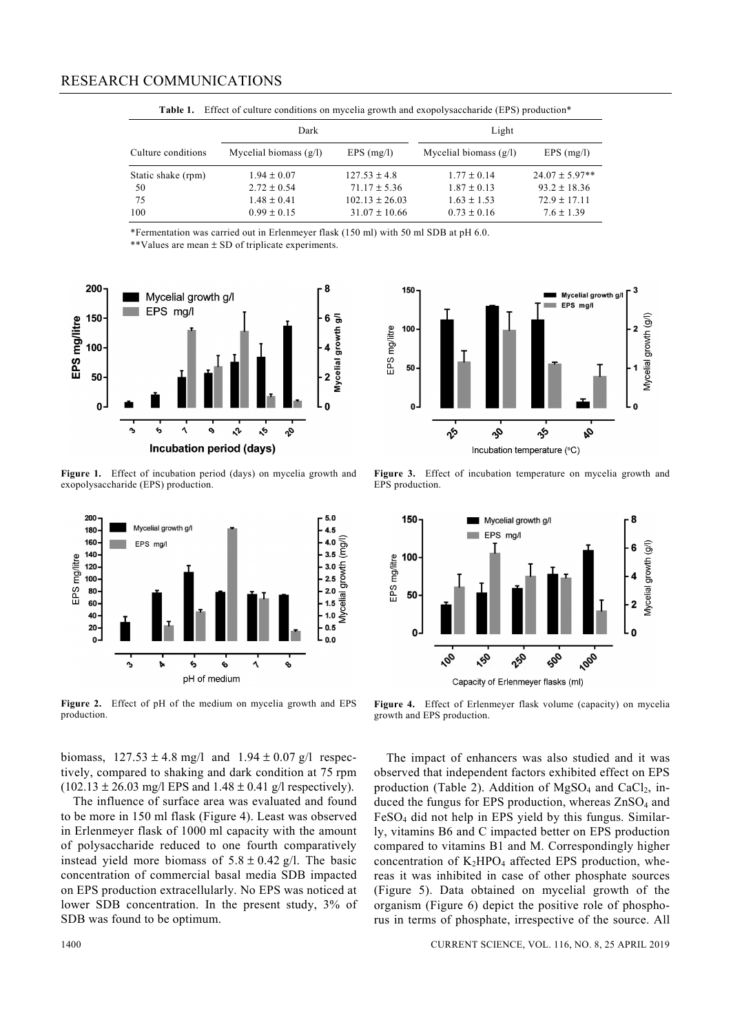|                    | Dark                     |                    | Light                    |                    |
|--------------------|--------------------------|--------------------|--------------------------|--------------------|
| Culture conditions | Mycelial biomass $(g/l)$ | $EPS$ (mg/l)       | Mycelial biomass $(g/l)$ | $EPS$ (mg/l)       |
| Static shake (rpm) | $1.94 \pm 0.07$          | $127.53 \pm 4.8$   | $1.77 \pm 0.14$          | $24.07 \pm 5.97**$ |
| -50                | $2.72 \pm 0.54$          | $71.17 \pm 5.36$   | $1.87 \pm 0.13$          | $93.2 \pm 18.36$   |
| 75                 | $1.48 \pm 0.41$          | $102.13 \pm 26.03$ | $1.63 + 1.53$            | $72.9 \pm 17.11$   |
| 100                | $0.99 \pm 0.15$          | $31.07 \pm 10.66$  | $0.73 \pm 0.16$          | $7.6 \pm 1.39$     |

Table 1. Effect of culture conditions on mycelia growth and exopolysaccharide (EPS) production<sup>\*</sup>

\*Fermentation was carried out in Erlenmeyer flask (150 ml) with 50 ml SDB at pH 6.0.

\*\*Values are mean ± SD of triplicate experiments.



**Figure 1.** Effect of incubation period (days) on mycelia growth and exopolysaccharide (EPS) production.



**Figure 2.** Effect of pH of the medium on mycelia growth and EPS production.

biomass,  $127.53 \pm 4.8$  mg/l and  $1.94 \pm 0.07$  g/l respectively, compared to shaking and dark condition at 75 rpm  $(102.13 \pm 26.03 \text{ mg/l} \text{ EPS} \text{ and } 1.48 \pm 0.41 \text{ g/l} \text{ respectively}).$ 

 The influence of surface area was evaluated and found to be more in 150 ml flask (Figure 4). Least was observed in Erlenmeyer flask of 1000 ml capacity with the amount of polysaccharide reduced to one fourth comparatively instead yield more biomass of  $5.8 \pm 0.42$  g/l. The basic concentration of commercial basal media SDB impacted on EPS production extracellularly. No EPS was noticed at lower SDB concentration. In the present study, 3% of SDB was found to be optimum.



**Figure 3.** Effect of incubation temperature on mycelia growth and EPS production.



**Figure 4.** Effect of Erlenmeyer flask volume (capacity) on mycelia growth and EPS production.

 The impact of enhancers was also studied and it was observed that independent factors exhibited effect on EPS production (Table 2). Addition of  $MgSO<sub>4</sub>$  and CaCl<sub>2</sub>, induced the fungus for EPS production, whereas  $ZnSO<sub>4</sub>$  and  $FeSO<sub>4</sub>$  did not help in EPS yield by this fungus. Similarly, vitamins B6 and C impacted better on EPS production compared to vitamins B1 and M. Correspondingly higher concentration of  $K_2HPO_4$  affected EPS production, whereas it was inhibited in case of other phosphate sources (Figure 5). Data obtained on mycelial growth of the organism (Figure 6) depict the positive role of phosphorus in terms of phosphate, irrespective of the source. All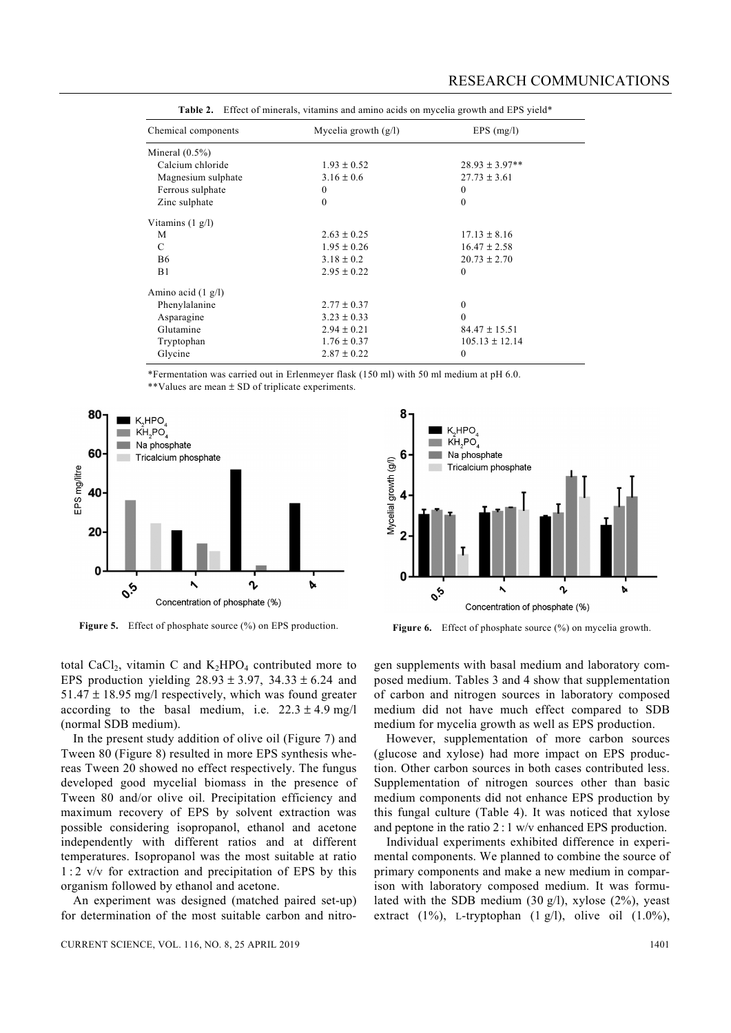| <u>these</u> of minstand, thanking and animo aside on myselia growin and his yield |                        |                    |  |  |  |
|------------------------------------------------------------------------------------|------------------------|--------------------|--|--|--|
| Chemical components                                                                | Mycelia growth $(g/l)$ | $EPS$ (mg/l)       |  |  |  |
| Mineral $(0.5\%)$                                                                  |                        |                    |  |  |  |
| Calcium chloride                                                                   | $1.93 \pm 0.52$        | $28.93 \pm 3.97**$ |  |  |  |
| Magnesium sulphate                                                                 | $3.16 \pm 0.6$         | $27.73 \pm 3.61$   |  |  |  |
| Ferrous sulphate                                                                   | $\bf{0}$               | $\mathbf{0}$       |  |  |  |
| Zinc sulphate                                                                      | $\theta$               | $\mathbf{0}$       |  |  |  |
| Vitamins $(1 g/l)$                                                                 |                        |                    |  |  |  |
| M                                                                                  | $2.63 \pm 0.25$        | $17.13 \pm 8.16$   |  |  |  |
| C                                                                                  | $1.95 \pm 0.26$        | $16.47 \pm 2.58$   |  |  |  |
| <b>B6</b>                                                                          | $3.18 \pm 0.2$         | $20.73 \pm 2.70$   |  |  |  |
| B1                                                                                 | $2.95 \pm 0.22$        | $\mathbf{0}$       |  |  |  |
| Amino acid $(1 g/l)$                                                               |                        |                    |  |  |  |
| Phenylalanine                                                                      | $2.77 \pm 0.37$        | $\mathbf{0}$       |  |  |  |
| Asparagine                                                                         | $3.23 \pm 0.33$        | $\theta$           |  |  |  |
| Glutamine                                                                          | $2.94 \pm 0.21$        | $84.47 \pm 15.51$  |  |  |  |
| Tryptophan                                                                         | $1.76 \pm 0.37$        | $105.13 \pm 12.14$ |  |  |  |
| Glycine                                                                            | $2.87 \pm 0.22$        | $\theta$           |  |  |  |

|  | <b>Table 2.</b> Effect of minerals, vitamins and amino acids on mycelia growth and EPS yield* |  |  |  |  |  |  |  |
|--|-----------------------------------------------------------------------------------------------|--|--|--|--|--|--|--|
|--|-----------------------------------------------------------------------------------------------|--|--|--|--|--|--|--|

\*Fermentation was carried out in Erlenmeyer flask (150 ml) with 50 ml medium at pH 6.0. \*\*Values are mean ± SD of triplicate experiments.



**Figure 5.** Effect of phosphate source (%) on EPS production. **Figure 6.** Effect of phosphate source (%) on mycelia growth.



total CaCl<sub>2</sub>, vitamin C and  $K_2HPO_4$  contributed more to EPS production yielding  $28.93 \pm 3.97$ ,  $34.33 \pm 6.24$  and  $51.47 \pm 18.95$  mg/l respectively, which was found greater according to the basal medium, i.e.  $22.3 \pm 4.9$  mg/l (normal SDB medium).

 In the present study addition of olive oil (Figure 7) and Tween 80 (Figure 8) resulted in more EPS synthesis whereas Tween 20 showed no effect respectively. The fungus developed good mycelial biomass in the presence of Tween 80 and/or olive oil. Precipitation efficiency and maximum recovery of EPS by solvent extraction was possible considering isopropanol, ethanol and acetone independently with different ratios and at different temperatures. Isopropanol was the most suitable at ratio  $1:2$  v/v for extraction and precipitation of EPS by this organism followed by ethanol and acetone.

 An experiment was designed (matched paired set-up) for determination of the most suitable carbon and nitro-

CURRENT SCIENCE, VOL. 116, NO. 8, 25 APRIL 2019 1401

gen supplements with basal medium and laboratory composed medium. Tables 3 and 4 show that supplementation of carbon and nitrogen sources in laboratory composed medium did not have much effect compared to SDB medium for mycelia growth as well as EPS production.

 However, supplementation of more carbon sources (glucose and xylose) had more impact on EPS production. Other carbon sources in both cases contributed less. Supplementation of nitrogen sources other than basic medium components did not enhance EPS production by this fungal culture (Table 4). It was noticed that xylose and peptone in the ratio 2 : 1 w/v enhanced EPS production.

 Individual experiments exhibited difference in experimental components. We planned to combine the source of primary components and make a new medium in comparison with laboratory composed medium. It was formulated with the SDB medium  $(30 \text{ g/l})$ , xylose  $(2\%)$ , yeast extract (1%), L-tryptophan (1 g/l), olive oil (1.0%),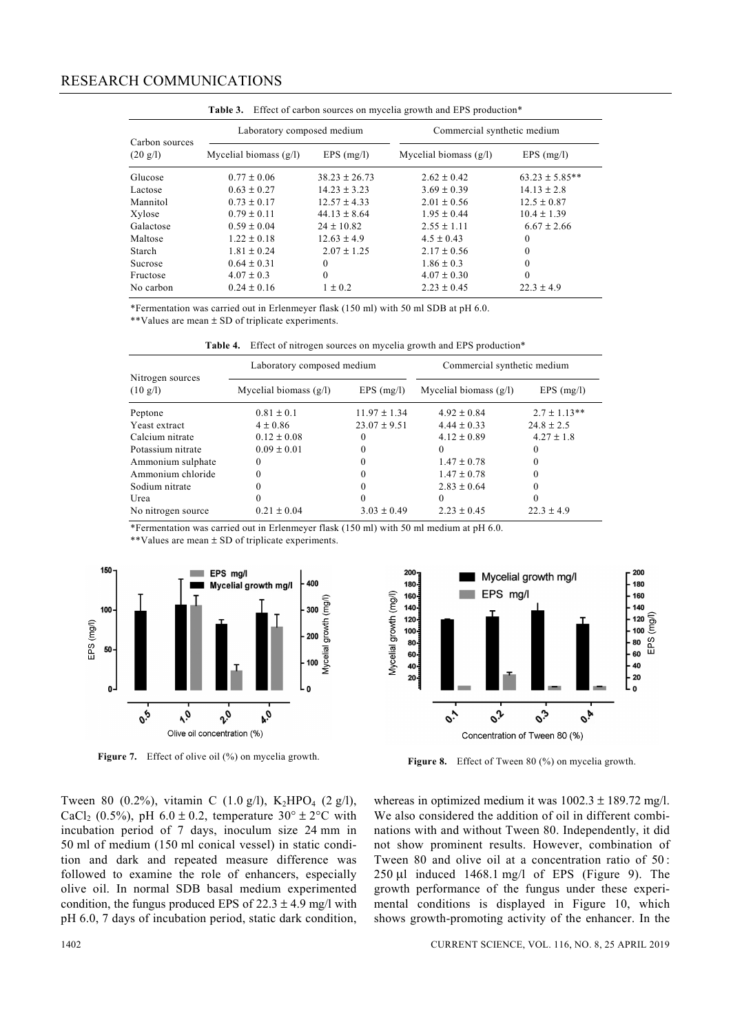## RESEARCH COMMUNICATIONS

|                                      | Laboratory composed medium |                   | Commercial synthetic medium |                    |
|--------------------------------------|----------------------------|-------------------|-----------------------------|--------------------|
| Carbon sources<br>$(20 \text{ g/l})$ | Mycelial biomass $(g/l)$   | $EPS$ (mg/l)      | Mycelial biomass $(g/l)$    | $EPS$ (mg/l)       |
| Glucose                              | $0.77 \pm 0.06$            | $38.23 \pm 26.73$ | $2.62 + 0.42$               | $63.23 \pm 5.85**$ |
| Lactose                              | $0.63 + 0.27$              | $14.23 \pm 3.23$  | $3.69 \pm 0.39$             | $14.13 \pm 2.8$    |
| Mannitol                             | $0.73 \pm 0.17$            | $12.57 \pm 4.33$  | $2.01 \pm 0.56$             | $12.5 \pm 0.87$    |
| Xylose                               | $0.79 \pm 0.11$            | $44.13 \pm 8.64$  | $1.95 + 0.44$               | $10.4 \pm 1.39$    |
| Galactose                            | $0.59 \pm 0.04$            | $24 \pm 10.82$    | $2.55 + 1.11$               | $6.67 \pm 2.66$    |
| Maltose                              | $1.22 + 0.18$              | $12.63 + 4.9$     | $4.5 \pm 0.43$              | $\theta$           |
| Starch                               | $1.81 + 0.24$              | $2.07 + 1.25$     | $2.17 + 0.56$               | $\Omega$           |
| <b>Sucrose</b>                       | $0.64 \pm 0.31$            | 0                 | $1.86 \pm 0.3$              | $\theta$           |
| Fructose                             | $4.07 \pm 0.3$             | $\theta$          | $4.07 \pm 0.30$             | $\Omega$           |
| No carbon                            | $0.24 \pm 0.16$            | $1 \pm 0.2$       | $2.23 \pm 0.45$             | $22.3 \pm 4.9$     |

Table 3. Effect of carbon sources on mycelia growth and EPS production\*

\*Fermentation was carried out in Erlenmeyer flask (150 ml) with 50 ml SDB at pH 6.0. \*\*Values are mean ± SD of triplicate experiments.

Table 4. Effect of nitrogen sources on mycelia growth and EPS production<sup>\*</sup>

|                                        | Laboratory composed medium |                  | Commercial synthetic medium |                  |  |
|----------------------------------------|----------------------------|------------------|-----------------------------|------------------|--|
| Nitrogen sources<br>$(10 \text{ g/l})$ | Mycelial biomass $(g/l)$   | $EPS$ (mg/l)     | Mycelial biomass $(g/l)$    | $EPS$ (mg/l)     |  |
| Peptone                                | $0.81 \pm 0.1$             | $11.97 \pm 1.34$ | $4.92 \pm 0.84$             | $2.7 \pm 1.13**$ |  |
| Yeast extract                          | $4 \pm 0.86$               | $23.07 \pm 9.51$ | $4.44 \pm 0.33$             | $24.8 \pm 2.5$   |  |
| Calcium nitrate                        | $0.12 \pm 0.08$            |                  | $4.12 \pm 0.89$             | $4.27 \pm 1.8$   |  |
| Potassium nitrate                      | $0.09 \pm 0.01$            |                  |                             | 0                |  |
| Ammonium sulphate                      |                            |                  | $1.47 \pm 0.78$             | 0                |  |
| Ammonium chloride                      |                            |                  | $1.47 \pm 0.78$             | 0                |  |
| Sodium nitrate                         |                            |                  | $2.83 \pm 0.64$             | 0                |  |
| Urea                                   |                            |                  |                             | 0                |  |
| No nitrogen source                     | $0.21 \pm 0.04$            | $3.03 \pm 0.49$  | $2.23 \pm 0.45$             | $22.3 \pm 4.9$   |  |

\*Fermentation was carried out in Erlenmeyer flask (150 ml) with 50 ml medium at pH 6.0.

\*\*Values are mean ± SD of triplicate experiments.





**Figure 7.** Effect of olive oil (%) on mycelia growth. **Figure 8.** Effect of Tween 80 (%) on mycelia growth.

Tween 80 (0.2%), vitamin C (1.0 g/l),  $K_2HPO_4$  (2 g/l), CaCl<sub>2</sub> (0.5%), pH 6.0  $\pm$  0.2, temperature 30°  $\pm$  2°C with incubation period of 7 days, inoculum size 24 mm in 50 ml of medium (150 ml conical vessel) in static condition and dark and repeated measure difference was followed to examine the role of enhancers, especially olive oil. In normal SDB basal medium experimented condition, the fungus produced EPS of  $22.3 \pm 4.9$  mg/l with pH 6.0, 7 days of incubation period, static dark condition, whereas in optimized medium it was  $1002.3 \pm 189.72$  mg/l. We also considered the addition of oil in different combinations with and without Tween 80. Independently, it did not show prominent results. However, combination of Tween 80 and olive oil at a concentration ratio of 50 :  $250 \mu l$  induced  $1468.1 \text{ mg/l}$  of EPS (Figure 9). The growth performance of the fungus under these experimental conditions is displayed in Figure 10, which shows growth-promoting activity of the enhancer. In the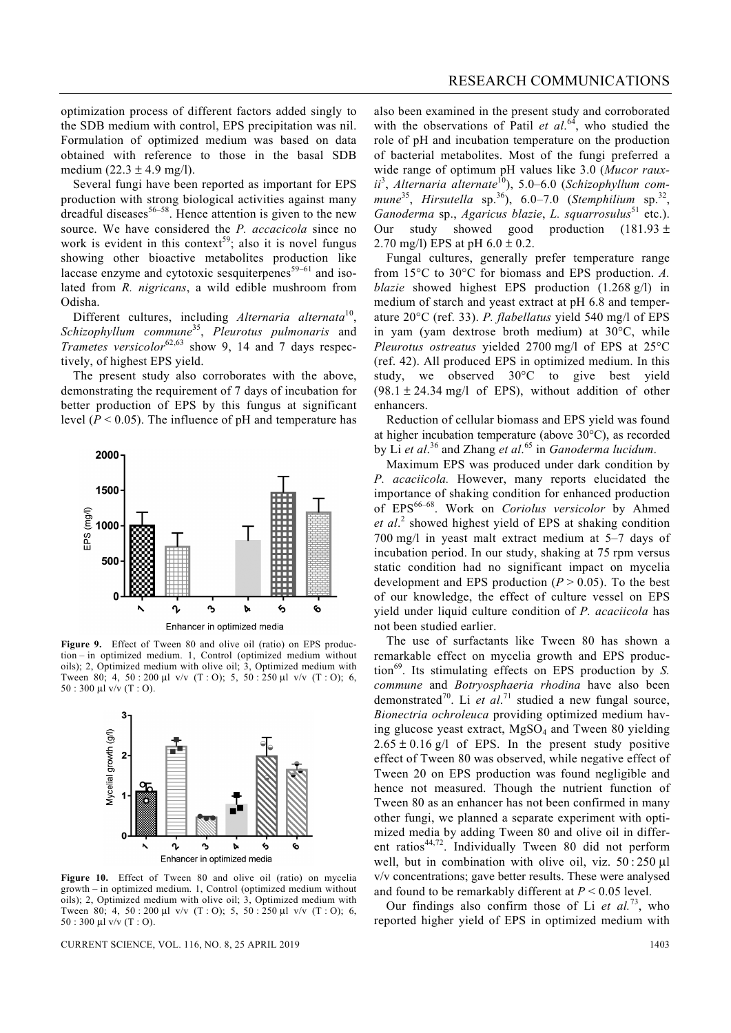Several fungi have been reported as important for EPS production with strong biological activities against many dreadful diseases<sup>56–58</sup>. Hence attention is given to the new source. We have considered the *P. accacicola* since no work is evident in this context<sup>59</sup>; also it is novel fungus showing other bioactive metabolites production like laccase enzyme and cytotoxic sesquiterpenes<sup>59–61</sup> and isolated from *R. nigricans*, a wild edible mushroom from Odisha.

 Different cultures, including *Alternaria alternata*10, *Schizophyllum commune*35, *Pleurotus pulmonaris* and *Trametes versicolor*62,63 show 9, 14 and 7 days respectively, of highest EPS yield.

 The present study also corroborates with the above, demonstrating the requirement of 7 days of incubation for better production of EPS by this fungus at significant level  $(P < 0.05)$ . The influence of pH and temperature has



Figure 9. Effect of Tween 80 and olive oil (ratio) on EPS production – in optimized medium. 1, Control (optimized medium without oils); 2, Optimized medium with olive oil; 3, Optimized medium with Tween 80; 4, 50 : 200 μl v/v (T : O); 5, 50 : 250 μl v/v (T : O); 6, 50 : 300 μl v/v (T : O).



**Figure 10.** Effect of Tween 80 and olive oil (ratio) on mycelia growth – in optimized medium. 1, Control (optimized medium without oils); 2, Optimized medium with olive oil; 3, Optimized medium with Tween 80; 4, 50 : 200 μl v/v (T : O); 5, 50 : 250 μl v/v (T : O); 6, 50 : 300 μl v/v (T : O).

CURRENT SCIENCE, VOL. 116, NO. 8, 25 APRIL 2019 1403

also been examined in the present study and corroborated with the observations of Patil *et al.*<sup>64</sup>, who studied the role of pH and incubation temperature on the production of bacterial metabolites. Most of the fungi preferred a wide range of optimum pH values like 3.0 (*Mucor raux*ii<sup>3</sup>, Alternaria alternate<sup>10</sup>), 5.0–6.0 (*Schizophyllum commune*<sup>35</sup>, *Hirsutella* sp.<sup>36</sup>), 6.0–7.0 (*Stemphilium* sp.<sup>32</sup>, *Ganoderma* sp., *Agaricus blazie*, *L. squarrosulus*51 etc.). Our study showed good production  $(181.93 \pm$ 2.70 mg/l) EPS at pH  $6.0 \pm 0.2$ .

 Fungal cultures, generally prefer temperature range from 15°C to 30°C for biomass and EPS production. *A. blazie* showed highest EPS production (1.268 g/l) in medium of starch and yeast extract at pH 6.8 and temperature 20°C (ref. 33). *P. flabellatus* yield 540 mg/l of EPS in yam (yam dextrose broth medium) at 30°C, while *Pleurotus ostreatus* yielded 2700 mg/l of EPS at 25°C (ref. 42). All produced EPS in optimized medium. In this study, we observed 30°C to give best yield  $(98.1 \pm 24.34 \text{ mg/l}$  of EPS), without addition of other enhancers.

 Reduction of cellular biomass and EPS yield was found at higher incubation temperature (above 30°C), as recorded by Li *et al*. 36 and Zhang *et al*. 65 in *Ganoderma lucidum*.

 Maximum EPS was produced under dark condition by *P. acaciicola.* However, many reports elucidated the importance of shaking condition for enhanced production of EPS66–68. Work on *Coriolus versicolor* by Ahmed *et al*. 2 showed highest yield of EPS at shaking condition 700 mg/l in yeast malt extract medium at 5–7 days of incubation period. In our study, shaking at 75 rpm versus static condition had no significant impact on mycelia development and EPS production  $(P > 0.05)$ . To the best of our knowledge, the effect of culture vessel on EPS yield under liquid culture condition of *P. acaciicola* has not been studied earlier.

 The use of surfactants like Tween 80 has shown a remarkable effect on mycelia growth and EPS production<sup>69</sup>. Its stimulating effects on EPS production by *S*. *commune* and *Botryosphaeria rhodina* have also been demonstrated<sup>70</sup>. Li *et al.*<sup>71</sup> studied a new fungal source, *Bionectria ochroleuca* providing optimized medium having glucose yeast extract,  $MgSO<sub>4</sub>$  and Tween 80 yielding  $2.65 \pm 0.16$  g/l of EPS. In the present study positive effect of Tween 80 was observed, while negative effect of Tween 20 on EPS production was found negligible and hence not measured. Though the nutrient function of Tween 80 as an enhancer has not been confirmed in many other fungi, we planned a separate experiment with optimized media by adding Tween 80 and olive oil in different ratios $44,72$ . Individually Tween 80 did not perform well, but in combination with olive oil, viz. 50 : 250 μl v/v concentrations; gave better results. These were analysed and found to be remarkably different at *P* < 0.05 level.

 Our findings also confirm those of Li *et al.*73, who reported higher yield of EPS in optimized medium with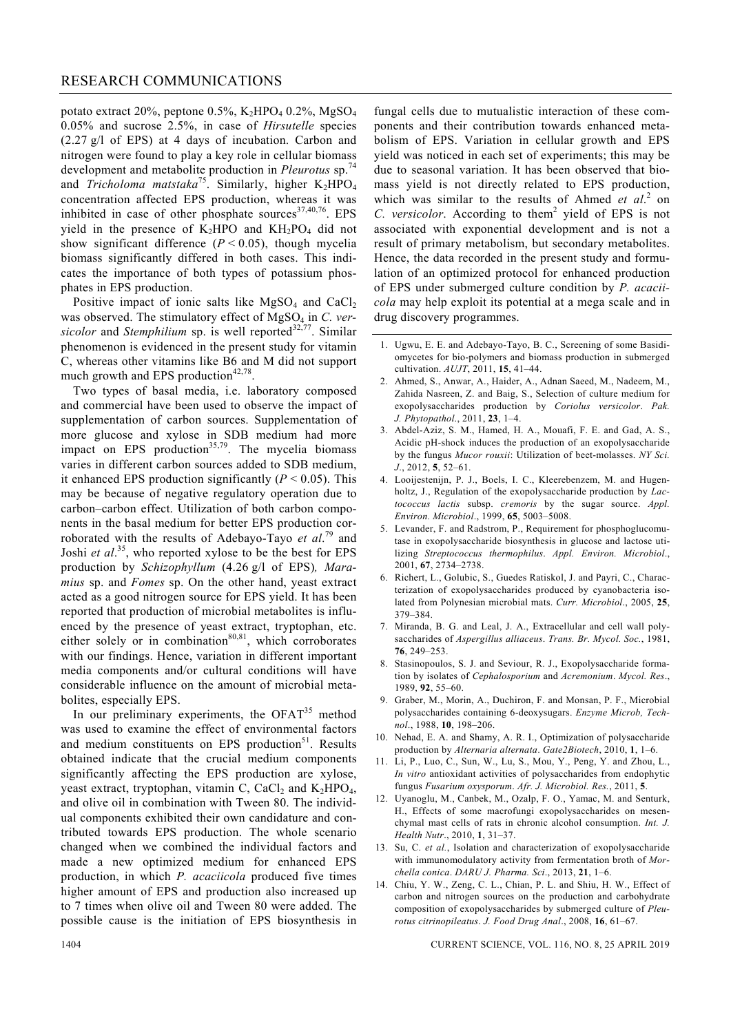potato extract 20%, peptone  $0.5\%$ , K<sub>2</sub>HPO<sub>4</sub> 0.2%, MgSO<sub>4</sub> 0.05% and sucrose 2.5%, in case of *Hirsutelle* species (2.27 g/l of EPS) at 4 days of incubation. Carbon and nitrogen were found to play a key role in cellular biomass development and metabolite production in *Pleurotus* sp.<sup>74</sup> and *Tricholoma matstaka*<sup>75</sup>. Similarly, higher K<sub>2</sub>HPO<sub>4</sub> concentration affected EPS production, whereas it was inhibited in case of other phosphate sources $37,40,76$ . EPS yield in the presence of  $K_2HPO$  and  $KH_2PO_4$  did not show significant difference  $(P < 0.05)$ , though mycelia biomass significantly differed in both cases. This indicates the importance of both types of potassium phosphates in EPS production.

Positive impact of ionic salts like  $MgSO<sub>4</sub>$  and  $CaCl<sub>2</sub>$ was observed. The stimulatory effect of MgSO<sub>4</sub> in *C. versicolor* and *Stemphilium* sp. is well reported<sup>32,77</sup>. Similar phenomenon is evidenced in the present study for vitamin C, whereas other vitamins like B6 and M did not support much growth and EPS production $42,78$ .

 Two types of basal media, i.e. laboratory composed and commercial have been used to observe the impact of supplementation of carbon sources. Supplementation of more glucose and xylose in SDB medium had more impact on EPS production<sup>35,79</sup>. The mycelia biomass varies in different carbon sources added to SDB medium, it enhanced EPS production significantly  $(P < 0.05)$ . This may be because of negative regulatory operation due to carbon–carbon effect. Utilization of both carbon components in the basal medium for better EPS production corroborated with the results of Adebayo-Tayo *et al*. 79 and Joshi *et al.*<sup>35</sup>, who reported xylose to be the best for EPS production by *Schizophyllum* (4.26 g/l of EPS)*, Maramius* sp. and *Fomes* sp. On the other hand, yeast extract acted as a good nitrogen source for EPS yield. It has been reported that production of microbial metabolites is influenced by the presence of yeast extract, tryptophan, etc. either solely or in combination $80,81$ , which corroborates with our findings. Hence, variation in different important media components and/or cultural conditions will have considerable influence on the amount of microbial metabolites, especially EPS.

In our preliminary experiments, the  $OFAT<sup>35</sup>$  method was used to examine the effect of environmental factors and medium constituents on EPS production<sup>51</sup>. Results obtained indicate that the crucial medium components significantly affecting the EPS production are xylose, yeast extract, tryptophan, vitamin C, CaCl<sub>2</sub> and K<sub>2</sub>HPO<sub>4</sub>, and olive oil in combination with Tween 80. The individual components exhibited their own candidature and contributed towards EPS production. The whole scenario changed when we combined the individual factors and made a new optimized medium for enhanced EPS production, in which *P. acaciicola* produced five times higher amount of EPS and production also increased up to 7 times when olive oil and Tween 80 were added. The possible cause is the initiation of EPS biosynthesis in

fungal cells due to mutualistic interaction of these components and their contribution towards enhanced metabolism of EPS. Variation in cellular growth and EPS yield was noticed in each set of experiments; this may be due to seasonal variation. It has been observed that biomass yield is not directly related to EPS production, which was similar to the results of Ahmed *et al.*<sup>2</sup> on C. versicolor. According to them<sup>2</sup> yield of EPS is not associated with exponential development and is not a result of primary metabolism, but secondary metabolites. Hence, the data recorded in the present study and formulation of an optimized protocol for enhanced production of EPS under submerged culture condition by *P. acaciicola* may help exploit its potential at a mega scale and in drug discovery programmes.

- 1. Ugwu, E. E. and Adebayo-Tayo, B. C., Screening of some Basidiomycetes for bio-polymers and biomass production in submerged cultivation. *AUJT*, 2011, **15**, 41–44.
- 2. Ahmed, S., Anwar, A., Haider, A., Adnan Saeed, M., Nadeem, M., Zahida Nasreen, Z. and Baig, S., Selection of culture medium for exopolysaccharides production by *Coriolus versicolor*. *Pak. J. Phytopathol*., 2011, **23**, 1–4.
- 3. Abdel-Aziz, S. M., Hamed, H. A., Mouafi, F. E. and Gad, A. S., Acidic pH-shock induces the production of an exopolysaccharide by the fungus *Mucor rouxii*: Utilization of beet-molasses. *NY Sci. J*., 2012, **5**, 52–61.
- 4. Looijestenijn, P. J., Boels, I. C., Kleerebenzem, M. and Hugenholtz, J., Regulation of the exopolysaccharide production by *Lactococcus lactis* subsp. *cremoris* by the sugar source. *Appl. Environ. Microbiol*., 1999, **65**, 5003–5008.
- 5. Levander, F. and Radstrom, P., Requirement for phosphoglucomutase in exopolysaccharide biosynthesis in glucose and lactose utilizing *Streptococcus thermophilus*. *Appl. Environ. Microbiol*., 2001, **67**, 2734–2738.
- 6. Richert, L., Golubic, S., Guedes Ratiskol, J. and Payri, C., Characterization of exopolysaccharides produced by cyanobacteria isolated from Polynesian microbial mats. *Curr. Microbiol*., 2005, **25**, 379–384.
- 7. Miranda, B. G. and Leal, J. A., Extracellular and cell wall polysaccharides of *Aspergillus alliaceus*. *Trans. Br. Mycol. Soc.*, 1981, **76**, 249–253.
- 8. Stasinopoulos, S. J. and Seviour, R. J., Exopolysaccharide formation by isolates of *Cephalosporium* and *Acremonium*. *Mycol. Res*., 1989, **92**, 55–60.
- 9. Graber, M., Morin, A., Duchiron, F. and Monsan, P. F., Microbial polysaccharides containing 6-deoxysugars. *Enzyme Microb, Technol*., 1988, **10**, 198–206.
- 10. Nehad, E. A. and Shamy, A. R. I., Optimization of polysaccharide production by *Alternaria alternata*. *Gate2Biotech*, 2010, **1**, 1–6.
- 11. Li, P., Luo, C., Sun, W., Lu, S., Mou, Y., Peng, Y. and Zhou, L., *In vitro* antioxidant activities of polysaccharides from endophytic fungus *Fusarium oxysporum*. *Afr. J. Microbiol. Res.*, 2011, **5**.
- 12. Uyanoglu, M., Canbek, M., Ozalp, F. O., Yamac, M. and Senturk, H., Effects of some macrofungi exopolysaccharides on mesenchymal mast cells of rats in chronic alcohol consumption. *Int. J. Health Nutr*., 2010, **1**, 31–37.
- 13. Su, C. *et al.*, Isolation and characterization of exopolysaccharide with immunomodulatory activity from fermentation broth of *Morchella conica*. *DARU J. Pharma. Sci*., 2013, **21**, 1–6.
- 14. Chiu, Y. W., Zeng, C. L., Chian, P. L. and Shiu, H. W., Effect of carbon and nitrogen sources on the production and carbohydrate composition of exopolysaccharides by submerged culture of *Pleurotus citrinopileatus*. *J. Food Drug Anal*., 2008, **16**, 61–67.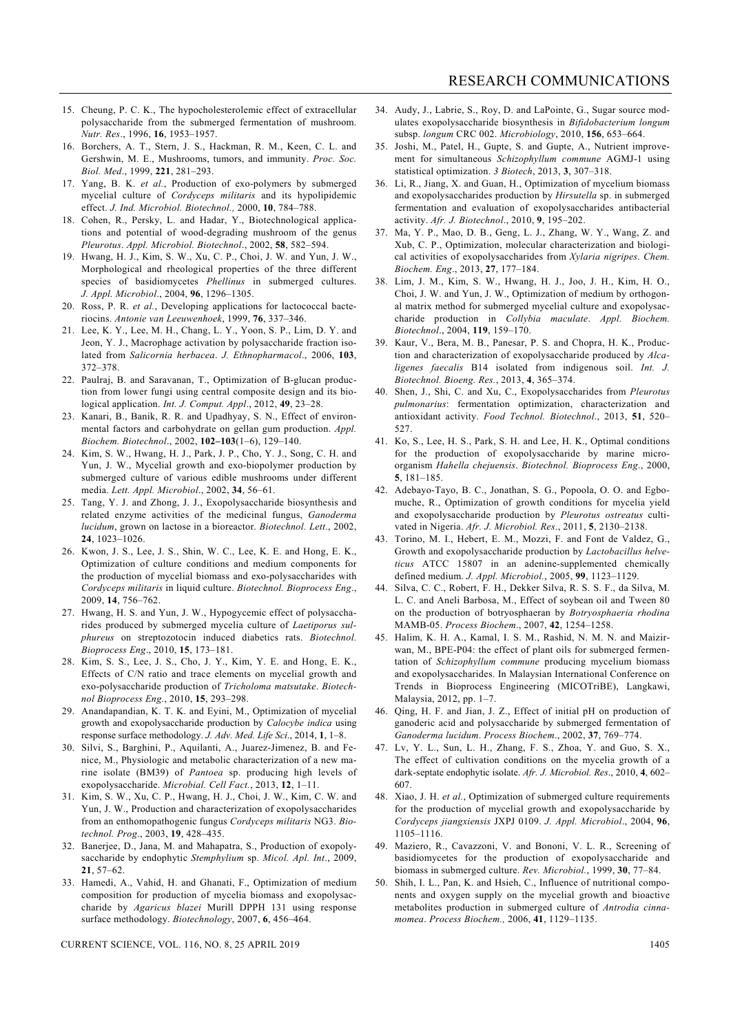- 15. Cheung, P. C. K., The hypocholesterolemic effect of extracellular polysaccharide from the submerged fermentation of mushroom. *Nutr. Res*., 1996, **16**, 1953–1957.
- 16. Borchers, A. T., Stern, J. S., Hackman, R. M., Keen, C. L. and Gershwin, M. E., Mushrooms, tumors, and immunity. *Proc. Soc. Biol. Med*., 1999, **221**, 281–293.
- 17. Yang, B. K. *et al.*, Production of exo-polymers by submerged mycelial culture of *Cordyceps militaris* and its hypolipidemic effect. *J. Ind. Microbiol. Biotechnol.,* 2000, **10**, 784–788.
- 18. Cohen, R., Persky, L. and Hadar, Y., Biotechnological applications and potential of wood-degrading mushroom of the genus *Pleurotus*. *Appl. Microbiol. Biotechnol*., 2002, **58**, 582–594.
- 19. Hwang, H. J., Kim, S. W., Xu, C. P., Choi, J. W. and Yun, J. W., Morphological and rheological properties of the three different species of basidiomycetes *Phellinus* in submerged cultures. *J. Appl. Microbiol*., 2004, **96**, 1296–1305.
- 20. Ross, P. R. *et al.*, Developing applications for lactococcal bacteriocins. *Antonie van Leeuwenhoek*, 1999, **76**, 337–346.
- 21. Lee, K. Y., Lee, M. H., Chang, L. Y., Yoon, S. P., Lim, D. Y. and Jeon, Y. J., Macrophage activation by polysaccharide fraction isolated from *Salicornia herbacea*. *J. Ethnopharmacol*., 2006, **103**, 372–378.
- 22. Paulraj, B. and Saravanan, T., Optimization of Β-glucan production from lower fungi using central composite design and its biological application. *Int. J. Comput. Appl*., 2012, **49**, 23–28.
- 23. Kanari, B., Banik, R. R. and Upadhyay, S. N., Effect of environmental factors and carbohydrate on gellan gum production. *Appl. Biochem. Biotechnol*., 2002, **102–103**(1–6), 129–140.
- 24. Kim, S. W., Hwang, H. J., Park, J. P., Cho, Y. J., Song, C. H. and Yun, J. W., Mycelial growth and exo-biopolymer production by submerged culture of various edible mushrooms under different media. *Lett. Appl. Microbiol*., 2002, **34**, 56–61.
- 25. Tang, Y. J. and Zhong, J. J., Exopolysaccharide biosynthesis and related enzyme activities of the medicinal fungus, *Ganoderma lucidum*, grown on lactose in a bioreactor. *Biotechnol. Lett*., 2002, **24**, 1023–1026.
- 26. Kwon, J. S., Lee, J. S., Shin, W. C., Lee, K. E. and Hong, E. K., Optimization of culture conditions and medium components for the production of mycelial biomass and exo-polysaccharides with *Cordyceps militaris* in liquid culture. *Biotechnol. Bioprocess Eng*., 2009, **14**, 756–762.
- 27. Hwang, H. S. and Yun, J. W., Hypogycemic effect of polysaccharides produced by submerged mycelia culture of *Laetiporus sulphureus* on streptozotocin induced diabetics rats. *Biotechnol. Bioprocess Eng*., 2010, **15**, 173–181.
- 28. Kim, S. S., Lee, J. S., Cho, J. Y., Kim, Y. E. and Hong, E. K., Effects of C/N ratio and trace elements on mycelial growth and exo-polysaccharide production of *Tricholoma matsutake*. *Biotechnol Bioprocess Eng.*, 2010, **15**, 293–298.
- 29. Anandapandian, K. T. K. and Eyini, M., Optimization of mycelial growth and exopolysaccharide production by *Calocybe indica* using response surface methodology. *J. Adv. Med. Life Sci*., 2014, **1**, 1–8.
- 30. Silvi, S., Barghini, P., Aquilanti, A., Juarez-Jimenez, B. and Fenice, M., Physiologic and metabolic characterization of a new marine isolate (BM39) of *Pantoea* sp. producing high levels of exopolysaccharide. *Microbial. Cell Fact.*, 2013, **12**, 1–11.
- 31. Kim, S. W., Xu, C. P., Hwang, H. J., Choi, J. W., Kim, C. W. and Yun, J. W., Production and characterization of exopolysaccharides from an enthomopathogenic fungus *Cordyceps militaris* NG3. *Biotechnol. Prog*., 2003, **19**, 428–435.
- 32. Banerjee, D., Jana, M. and Mahapatra, S., Production of exopolysaccharide by endophytic *Stemphylium* sp. *Micol. Apl. Int*., 2009, **21**, 57–62.
- 33. Hamedi, A., Vahid, H. and Ghanati, F., Optimization of medium composition for production of mycelia biomass and exopolysaccharide by *Agaricus blazei* Murill DPPH 131 using response surface methodology. *Biotechnology*, 2007, **6**, 456–464.

CURRENT SCIENCE, VOL. 116, NO. 8, 25 APRIL 2019 1405

- 34. Audy, J., Labrie, S., Roy, D. and LaPointe, G., Sugar source modulates exopolysaccharide biosynthesis in *Bifidobacterium longum*  subsp. *longum* CRC 002. *Microbiology*, 2010, **156**, 653–664.
- 35. Joshi, M., Patel, H., Gupte, S. and Gupte, A., Nutrient improvement for simultaneous *Schizophyllum commune* AGMJ-1 using statistical optimization. *3 Biotech*, 2013, **3**, 307–318.
- 36. Li, R., Jiang, X. and Guan, H., Optimization of mycelium biomass and exopolysaccharides production by *Hirsutella* sp. in submerged fermentation and evaluation of exopolysaccharides antibacterial activity. *Afr. J. Biotechnol*., 2010, **9**, 195–202.
- 37. Ma, Y. P., Mao, D. B., Geng, L. J., Zhang, W. Y., Wang, Z. and Xub, C. P., Optimization, molecular characterization and biological activities of exopolysaccharides from *Xylaria nigripes*. *Chem. Biochem. Eng*., 2013, **27**, 177–184.
- 38. Lim, J. M., Kim, S. W., Hwang, H. J., Joo, J. H., Kim, H. O., Choi, J. W. and Yun, J. W., Optimization of medium by orthogonal matrix method for submerged mycelial culture and exopolysaccharide production in *Collybia maculate*. *Appl. Biochem. Biotechnol*., 2004, **119**, 159–170.
- 39. Kaur, V., Bera, M. B., Panesar, P. S. and Chopra, H. K., Production and characterization of exopolysaccharide produced by *Alcaligenes faecalis* B14 isolated from indigenous soil. *Int. J. Biotechnol. Bioeng. Res.*, 2013, **4**, 365–374.
- 40. Shen, J., Shi, C. and Xu, C., Exopolysaccharides from *Pleurotus pulmonarius*: fermentation optimization, characterization and antioxidant activity. *Food Technol. Biotechnol*., 2013, **51**, 520– 527.
- 41. Ko, S., Lee, H. S., Park, S. H. and Lee, H. K., Optimal conditions for the production of exopolysaccharide by marine microorganism *Hahella chejuensis*. *Biotechnol. Bioprocess Eng*., 2000, **5**, 181–185.
- 42. Adebayo-Tayo, B. C., Jonathan, S. G., Popoola, O. O. and Egbomuche, R., Optimization of growth conditions for mycelia yield and exopolysaccharide production by *Pleurotus ostreatus* cultivated in Nigeria. *Afr. J. Microbiol. Res*., 2011, **5**, 2130–2138.
- 43. Torino, M. I., Hebert, E. M., Mozzi, F. and Font de Valdez, G., Growth and exopolysaccharide production by *Lactobacillus helveticus* ATCC 15807 in an adenine-supplemented chemically defined medium. *J. Appl. Microbiol.*, 2005, **99**, 1123–1129.
- 44. Silva, C. C., Robert, F. H., Dekker Silva, R. S. S. F., da Silva, M. L. C. and Aneli Barbosa, M., Effect of soybean oil and Tween 80 on the production of botryosphaeran by *Botryosphaeria rhodina*  MAMB-05. *Process Biochem*., 2007, **42**, 1254–1258.
- 45. Halim, K. H. A., Kamal, I. S. M., Rashid, N. M. N. and Maizirwan, M., BPE-P04: the effect of plant oils for submerged fermentation of *Schizophyllum commune* producing mycelium biomass and exopolysaccharides. In Malaysian International Conference on Trends in Bioprocess Engineering (MICOTriBE), Langkawi, Malaysia, 2012, pp. 1–7.
- 46. Qing, H. F. and Jian, J. Z., Effect of initial pH on production of ganoderic acid and polysaccharide by submerged fermentation of *Ganoderma lucidum*. *Process Biochem*., 2002, **37**, 769–774.
- 47. Lv, Y. L., Sun, L. H., Zhang, F. S., Zhoa, Y. and Guo, S. X., The effect of cultivation conditions on the mycelia growth of a dark-septate endophytic isolate. *Afr. J. Microbiol. Res*., 2010, **4**, 602– 607.
- 48. Xiao, J. H. *et al.*, Optimization of submerged culture requirements for the production of mycelial growth and exopolysaccharide by *Cordyceps jiangxiensis* JXPJ 0109. *J. Appl. Microbiol*., 2004, **96**, 1105–1116.
- 49. Maziero, R., Cavazzoni, V. and Bononi, V. L. R., Screening of basidiomycetes for the production of exopolysaccharide and biomass in submerged culture. *Rev. Microbiol.*, 1999, **30**, 77–84.
- 50. Shih, I. L., Pan, K. and Hsieh, C., Influence of nutritional components and oxygen supply on the mycelial growth and bioactive metabolites production in submerged culture of *Antrodia cinnamomea*. *Process Biochem.,* 2006, **41**, 1129–1135.